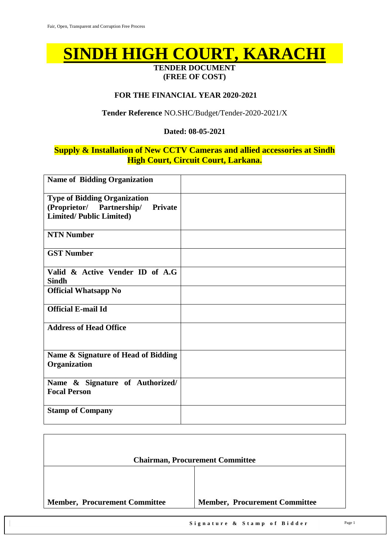# **SINDH HIGH COURT, KARACHI**

#### **TENDER DOCUMENT (FREE OF COST)**

#### **FOR THE FINANCIAL YEAR 2020-2021**

#### **Tender Reference** NO.SHC/Budget/Tender-2020-2021/X

#### **Dated: 08-05-2021**

#### **Supply & Installation of New CCTV Cameras and allied accessories at Sindh High Court, Circuit Court, Larkana.**

| <b>Name of Bidding Organization</b>                                                                           |  |
|---------------------------------------------------------------------------------------------------------------|--|
| <b>Type of Bidding Organization</b><br>(Proprietor/ Partnership/<br>Private<br><b>Limited/Public Limited)</b> |  |
| <b>NTN Number</b>                                                                                             |  |
| <b>GST Number</b>                                                                                             |  |
| Valid & Active Vender ID of A.G<br><b>Sindh</b>                                                               |  |
| <b>Official Whatsapp No</b>                                                                                   |  |
| <b>Official E-mail Id</b>                                                                                     |  |
| <b>Address of Head Office</b>                                                                                 |  |
| Name & Signature of Head of Bidding<br>Organization                                                           |  |
| Name & Signature of Authorized/<br><b>Focal Person</b>                                                        |  |
| <b>Stamp of Company</b>                                                                                       |  |

|                                      | <b>Chairman, Procurement Committee</b> |
|--------------------------------------|----------------------------------------|
|                                      |                                        |
| <b>Member, Procurement Committee</b> | <b>Member, Procurement Committee</b>   |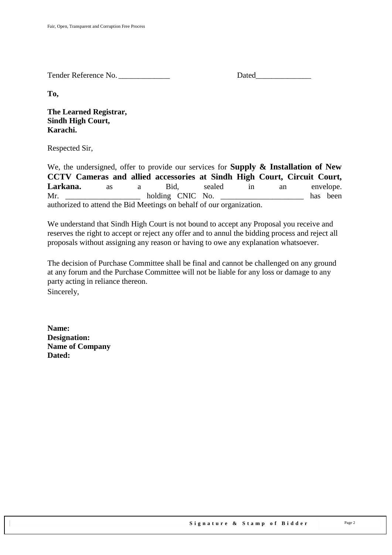Tender Reference No.

**To,** 

**The Learned Registrar, Sindh High Court, Karachi.**

Respected Sir,

We, the undersigned, offer to provide our services for **Supply & Installation of New CCTV Cameras and allied accessories at Sindh High Court, Circuit Court,**  Larkana. as a Bid, sealed in an envelope. Mr. holding CNIC No. has been authorized to attend the Bid Meetings on behalf of our organization.

We understand that Sindh High Court is not bound to accept any Proposal you receive and reserves the right to accept or reject any offer and to annul the bidding process and reject all proposals without assigning any reason or having to owe any explanation whatsoever.

The decision of Purchase Committee shall be final and cannot be challenged on any ground at any forum and the Purchase Committee will not be liable for any loss or damage to any party acting in reliance thereon.

Sincerely,

**Name: Designation: Name of Company Dated:**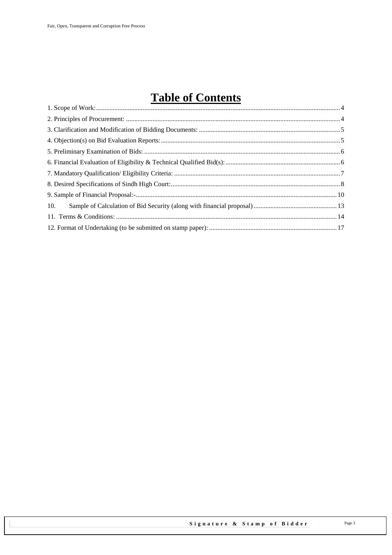# **Table of Contents**

| 10. |  |
|-----|--|
|     |  |
|     |  |
|     |  |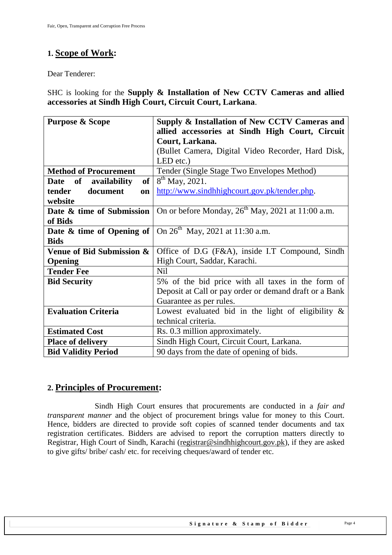# <span id="page-3-0"></span>**1. Scope of Work:**

Dear Tenderer:

SHC is looking for the **Supply & Installation of New CCTV Cameras and allied accessories at Sindh High Court, Circuit Court, Larkana**.

| <b>Purpose &amp; Scope</b>                           | Supply & Installation of New CCTV Cameras and                                            |  |  |
|------------------------------------------------------|------------------------------------------------------------------------------------------|--|--|
|                                                      | allied accessories at Sindh High Court, Circuit                                          |  |  |
|                                                      | Court, Larkana.                                                                          |  |  |
|                                                      | (Bullet Camera, Digital Video Recorder, Hard Disk,                                       |  |  |
|                                                      | LED etc.)                                                                                |  |  |
| <b>Method of Procurement</b>                         | Tender (Single Stage Two Envelopes Method)                                               |  |  |
| of <sub>1</sub><br>availability<br>of<br><b>Date</b> | $8^{th}$ May, 2021.                                                                      |  |  |
| document<br>tender<br><b>on</b>                      | http://www.sindhhighcourt.gov.pk/tender.php.                                             |  |  |
| website                                              |                                                                                          |  |  |
| Date & time of Submission                            | On or before Monday, 26 <sup>th</sup> May, 2021 at 11:00 a.m.                            |  |  |
| of Bids                                              |                                                                                          |  |  |
|                                                      | <b>Date &amp; time of Opening of</b> $\vert$ On 26 <sup>th</sup> May, 2021 at 11:30 a.m. |  |  |
| <b>Bids</b>                                          |                                                                                          |  |  |
| Venue of Bid Submission &                            | Office of D.G (F&A), inside I.T Compound, Sindh                                          |  |  |
| <b>Opening</b>                                       | High Court, Saddar, Karachi.                                                             |  |  |
| <b>Tender Fee</b>                                    | <b>Nil</b>                                                                               |  |  |
| <b>Bid Security</b>                                  | 5% of the bid price with all taxes in the form of                                        |  |  |
|                                                      | Deposit at Call or pay order or demand draft or a Bank                                   |  |  |
|                                                      | Guarantee as per rules.                                                                  |  |  |
| <b>Evaluation Criteria</b>                           | Lowest evaluated bid in the light of eligibility $\&$                                    |  |  |
|                                                      | technical criteria.                                                                      |  |  |
| <b>Estimated Cost</b>                                | Rs. 0.3 million approximately.                                                           |  |  |
| <b>Place of delivery</b>                             | Sindh High Court, Circuit Court, Larkana.                                                |  |  |
| <b>Bid Validity Period</b>                           | 90 days from the date of opening of bids.                                                |  |  |

#### <span id="page-3-1"></span>**2. Principles of Procurement:**

Sindh High Court ensures that procurements are conducted in a *fair and transparent manner* and the object of procurement brings value for money to this Court. Hence, bidders are directed to provide soft copies of scanned tender documents and tax registration certificates. Bidders are advised to report the corruption matters directly to Registrar, High Court of Sindh, Karachi [\(registrar@sindhhighcourt.gov.pk\)](mailto:registrar@sindhhighcourt.gov.pk), if they are asked to give gifts/ bribe/ cash/ etc. for receiving cheques/award of tender etc.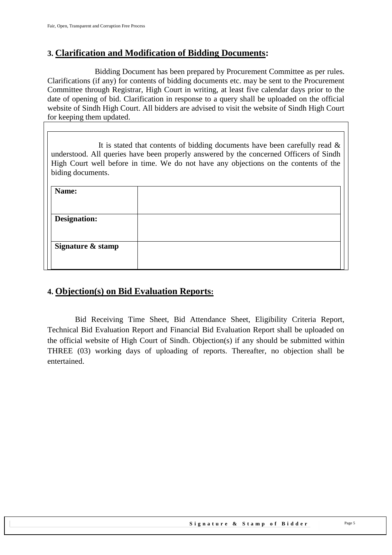### <span id="page-4-0"></span>**3. Clarification and Modification of Bidding Documents:**

Bidding Document has been prepared by Procurement Committee as per rules. Clarifications (if any) for contents of bidding documents etc. may be sent to the Procurement Committee through Registrar, High Court in writing, at least five calendar days prior to the date of opening of bid. Clarification in response to a query shall be uploaded on the official website of Sindh High Court. All bidders are advised to visit the website of Sindh High Court for keeping them updated.

It is stated that contents of bidding documents have been carefully read  $\&$ understood. All queries have been properly answered by the concerned Officers of Sindh High Court well before in time. We do not have any objections on the contents of the biding documents.

| Name:               |  |
|---------------------|--|
|                     |  |
| <b>Designation:</b> |  |
|                     |  |
| Signature & stamp   |  |
|                     |  |

## <span id="page-4-1"></span>**4. Objection(s) on Bid Evaluation Reports:**

 Bid Receiving Time Sheet, Bid Attendance Sheet, Eligibility Criteria Report, Technical Bid Evaluation Report and Financial Bid Evaluation Report shall be uploaded on the official website of High Court of Sindh. Objection(s) if any should be submitted within THREE (03) working days of uploading of reports. Thereafter, no objection shall be entertained.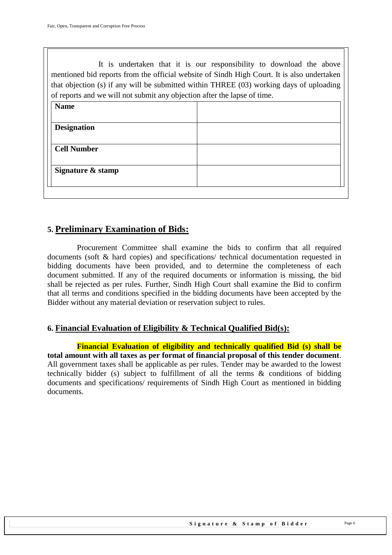It is undertaken that it is our responsibility to download the above mentioned bid reports from the official website of Sindh High Court. It is also undertaken that objection (s) if any will be submitted within THREE (03) working days of uploading of reports and we will not submit any objection after the lapse of time.

| <b>Name</b>        |  |
|--------------------|--|
|                    |  |
| <b>Designation</b> |  |
| <b>Cell Number</b> |  |
| Signature & stamp  |  |
|                    |  |

### <span id="page-5-0"></span>**5. Preliminary Examination of Bids:**

 Procurement Committee shall examine the bids to confirm that all required documents (soft & hard copies) and specifications/ technical documentation requested in bidding documents have been provided, and to determine the completeness of each document submitted. If any of the required documents or information is missing, the bid shall be rejected as per rules. Further, Sindh High Court shall examine the Bid to confirm that all terms and conditions specified in the bidding documents have been accepted by the Bidder without any material deviation or reservation subject to rules.

#### <span id="page-5-1"></span>**6. Financial Evaluation of Eligibility & Technical Qualified Bid(s):**

 **Financial Evaluation of eligibility and technically qualified Bid (s) shall be total amount with all taxes as per format of financial proposal of this tender document**. All government taxes shall be applicable as per rules. Tender may be awarded to the lowest technically bidder (s) subject to fulfillment of all the terms & conditions of bidding documents and specifications/ requirements of Sindh High Court as mentioned in bidding documents.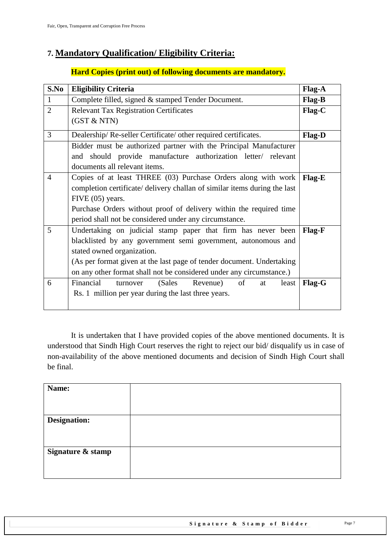# <span id="page-6-0"></span>**7. Mandatory Qualification/ Eligibility Criteria:**

#### **Hard Copies (print out) of following documents are mandatory.**

| S.No           | <b>Eligibility Criteria</b>                                                                                                                                                                                                                                                                                  | Flag-A |  |  |  |
|----------------|--------------------------------------------------------------------------------------------------------------------------------------------------------------------------------------------------------------------------------------------------------------------------------------------------------------|--------|--|--|--|
| $\mathbf{1}$   | Complete filled, signed & stamped Tender Document.                                                                                                                                                                                                                                                           |        |  |  |  |
| $\overline{2}$ | <b>Relevant Tax Registration Certificates</b>                                                                                                                                                                                                                                                                |        |  |  |  |
|                | (GST & NTN)                                                                                                                                                                                                                                                                                                  |        |  |  |  |
| 3              | Dealership/Re-seller Certificate/ other required certificates.                                                                                                                                                                                                                                               | Flag-D |  |  |  |
|                | Bidder must be authorized partner with the Principal Manufacturer<br>and should provide manufacture authorization letter/ relevant<br>documents all relevant items.                                                                                                                                          |        |  |  |  |
| $\overline{4}$ | Copies of at least THREE (03) Purchase Orders along with work<br>completion certificate/ delivery challan of similar items during the last<br>FIVE (05) years.<br>Purchase Orders without proof of delivery within the required time<br>period shall not be considered under any circumstance.               | Flag-E |  |  |  |
| 5              | Undertaking on judicial stamp paper that firm has never been<br>blacklisted by any government semi government, autonomous and<br>stated owned organization.<br>(As per format given at the last page of tender document. Undertaking<br>on any other format shall not be considered under any circumstance.) | Flag-F |  |  |  |
| 6              | Financial<br>(Sales<br>of<br>Revenue)<br>turnover<br>at<br>least<br>Rs. 1 million per year during the last three years.                                                                                                                                                                                      | Flag-G |  |  |  |

It is undertaken that I have provided copies of the above mentioned documents. It is understood that Sindh High Court reserves the right to reject our bid/ disqualify us in case of non-availability of the above mentioned documents and decision of Sindh High Court shall be final.

| Name:               |  |
|---------------------|--|
|                     |  |
| <b>Designation:</b> |  |
|                     |  |
|                     |  |
| Signature & stamp   |  |
|                     |  |
|                     |  |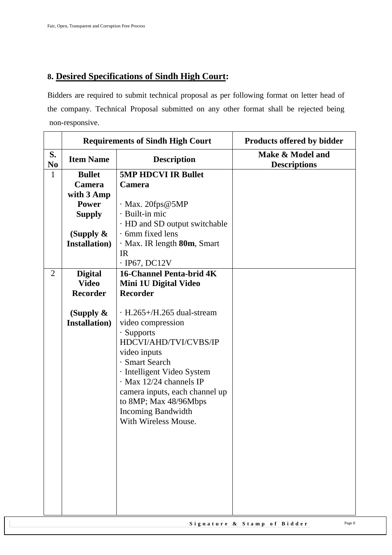# <span id="page-7-0"></span>**8. Desired Specifications of Sindh High Court:**

Bidders are required to submit technical proposal as per following format on letter head of the company. Technical Proposal submitted on any other format shall be rejected being non-responsive.

|                      | <b>Requirements of Sindh High Court</b> |                                  | <b>Products offered by bidder</b>       |
|----------------------|-----------------------------------------|----------------------------------|-----------------------------------------|
| S.<br>N <sub>0</sub> | <b>Item Name</b>                        | <b>Description</b>               | Make & Model and<br><b>Descriptions</b> |
| $\mathbf{1}$         | <b>Bullet</b>                           | <b>5MP HDCVI IR Bullet</b>       |                                         |
|                      | Camera                                  | Camera                           |                                         |
|                      | with 3 Amp                              |                                  |                                         |
|                      | <b>Power</b>                            | $\cdot$ Max. 20fps@5MP           |                                         |
|                      | <b>Supply</b>                           | · Built-in mic                   |                                         |
|                      |                                         | · HD and SD output switchable    |                                         |
|                      | (Supply $\&$                            | $\cdot$ 6mm fixed lens           |                                         |
|                      | <b>Installation</b> )                   | · Max. IR length 80m, Smart      |                                         |
|                      |                                         | IR                               |                                         |
|                      |                                         | $\cdot$ IP67, DC12V              |                                         |
| $\overline{2}$       | <b>Digital</b>                          | <b>16-Channel Penta-brid 4K</b>  |                                         |
|                      | <b>Video</b>                            | Mini 1U Digital Video            |                                         |
|                      | <b>Recorder</b>                         | <b>Recorder</b>                  |                                         |
|                      |                                         |                                  |                                         |
|                      | (Supply $\&$                            | $\cdot$ H.265+/H.265 dual-stream |                                         |
|                      | <b>Installation</b> )                   | video compression                |                                         |
|                      |                                         | $\cdot$ Supports                 |                                         |
|                      |                                         | HDCVI/AHD/TVI/CVBS/IP            |                                         |
|                      |                                         | video inputs                     |                                         |
|                      |                                         | · Smart Search                   |                                         |
|                      |                                         | · Intelligent Video System       |                                         |
|                      |                                         | $\cdot$ Max 12/24 channels IP    |                                         |
|                      |                                         | camera inputs, each channel up   |                                         |
|                      |                                         | to 8MP; Max 48/96Mbps            |                                         |
|                      |                                         | <b>Incoming Bandwidth</b>        |                                         |
|                      |                                         | With Wireless Mouse.             |                                         |
|                      |                                         |                                  |                                         |
|                      |                                         |                                  |                                         |
|                      |                                         |                                  |                                         |
|                      |                                         |                                  |                                         |
|                      |                                         |                                  |                                         |
|                      |                                         |                                  |                                         |
|                      |                                         |                                  |                                         |
|                      |                                         |                                  |                                         |
|                      |                                         |                                  |                                         |

Signature & Stamp of Bidder Page 8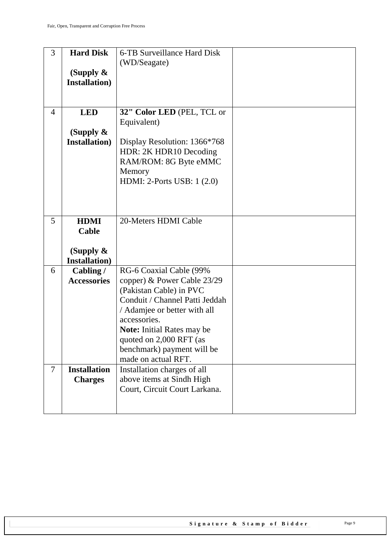| 3              | <b>Hard Disk</b>                      | 6-TB Surveillance Hard Disk                       |  |
|----------------|---------------------------------------|---------------------------------------------------|--|
|                |                                       | (WD/Seagate)                                      |  |
|                | (Supply $\&$                          |                                                   |  |
|                | <b>Installation</b> )                 |                                                   |  |
|                |                                       |                                                   |  |
|                |                                       |                                                   |  |
| $\overline{4}$ | <b>LED</b>                            | 32" Color LED (PEL, TCL or                        |  |
|                |                                       | Equivalent)                                       |  |
|                | (Supply $\&$<br><b>Installation</b> ) | Display Resolution: 1366*768                      |  |
|                |                                       | HDR: 2K HDR10 Decoding                            |  |
|                |                                       | RAM/ROM: 8G Byte eMMC                             |  |
|                |                                       | Memory                                            |  |
|                |                                       | HDMI: 2-Ports USB: 1 (2.0)                        |  |
|                |                                       |                                                   |  |
|                |                                       |                                                   |  |
|                |                                       |                                                   |  |
| 5              | <b>HDMI</b>                           | 20-Meters HDMI Cable                              |  |
|                | Cable                                 |                                                   |  |
|                |                                       |                                                   |  |
|                | (Supply $\&$<br><b>Installation</b> ) |                                                   |  |
| 6              | Cabling /                             | RG-6 Coaxial Cable (99%                           |  |
|                | <b>Accessories</b>                    | copper) & Power Cable 23/29                       |  |
|                |                                       | (Pakistan Cable) in PVC                           |  |
|                |                                       | Conduit / Channel Patti Jeddah                    |  |
|                |                                       | / Adamjee or better with all                      |  |
|                |                                       | accessories.                                      |  |
|                |                                       | <b>Note:</b> Initial Rates may be                 |  |
|                |                                       | quoted on 2,000 RFT (as                           |  |
|                |                                       | benchmark) payment will be<br>made on actual RFT. |  |
| $\tau$         | <b>Installation</b>                   | Installation charges of all                       |  |
|                | <b>Charges</b>                        | above items at Sindh High                         |  |
|                |                                       | Court, Circuit Court Larkana.                     |  |
|                |                                       |                                                   |  |
|                |                                       |                                                   |  |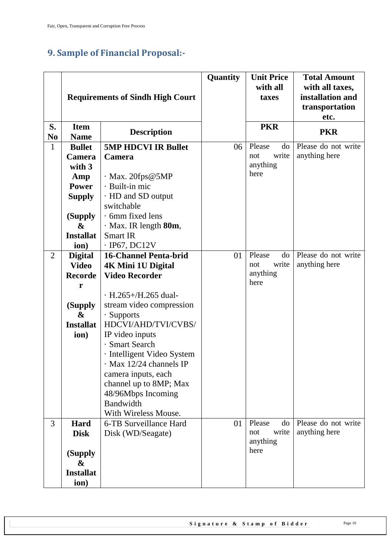# <span id="page-9-0"></span>**9. Sample of Financial Proposal:-**

|                      | <b>Requirements of Sindh High Court</b>                                                           |                                                                                                                                                                                                                                                                                                                                                                                                   | Quantity | <b>Unit Price</b><br>with all<br>taxes           | <b>Total Amount</b><br>with all taxes,<br>installation and<br>transportation<br>etc. |
|----------------------|---------------------------------------------------------------------------------------------------|---------------------------------------------------------------------------------------------------------------------------------------------------------------------------------------------------------------------------------------------------------------------------------------------------------------------------------------------------------------------------------------------------|----------|--------------------------------------------------|--------------------------------------------------------------------------------------|
| S.<br>N <sub>0</sub> | <b>Item</b><br><b>Name</b>                                                                        | <b>Description</b>                                                                                                                                                                                                                                                                                                                                                                                |          | <b>PKR</b>                                       | <b>PKR</b>                                                                           |
| 1                    | <b>Bullet</b><br>Camera<br>with 3<br>Amp<br><b>Power</b><br><b>Supply</b><br>(Supply<br>&         | <b>5MP HDCVI IR Bullet</b><br>Camera<br>$\cdot$ Max. 20fps@5MP<br>· Built-in mic<br>· HD and SD output<br>switchable<br>$\cdot$ 6mm fixed lens                                                                                                                                                                                                                                                    | 06       | Please<br>do<br>write<br>not<br>anything<br>here | Please do not write<br>anything here                                                 |
|                      | <b>Installat</b><br>ion)                                                                          | · Max. IR length 80m,<br><b>Smart IR</b><br>$\cdot$ IP67, DC12V                                                                                                                                                                                                                                                                                                                                   |          |                                                  |                                                                                      |
| $\overline{2}$       | <b>Digital</b><br><b>Video</b><br><b>Recorde</b><br>r<br>(Supply<br>&<br><b>Installat</b><br>ion) | <b>16-Channel Penta-brid</b><br><b>4K Mini 1U Digital</b><br><b>Video Recorder</b><br>$\cdot$ H.265+/H.265 dual-<br>stream video compression<br>· Supports<br>HDCVI/AHD/TVI/CVBS/<br>IP video inputs<br>· Smart Search<br>· Intelligent Video System<br>$\cdot$ Max 12/24 channels IP<br>camera inputs, each<br>channel up to 8MP; Max<br>48/96Mbps Incoming<br>Bandwidth<br>With Wireless Mouse. | 01       | Please<br>do<br>write<br>not<br>anything<br>here | Please do not write<br>anything here                                                 |
| 3                    | Hard<br><b>Disk</b><br>(Supply<br>&<br><b>Installat</b><br>ion)                                   | 6-TB Surveillance Hard<br>Disk (WD/Seagate)                                                                                                                                                                                                                                                                                                                                                       | 01       | Please<br>do<br>write<br>not<br>anything<br>here | Please do not write<br>anything here                                                 |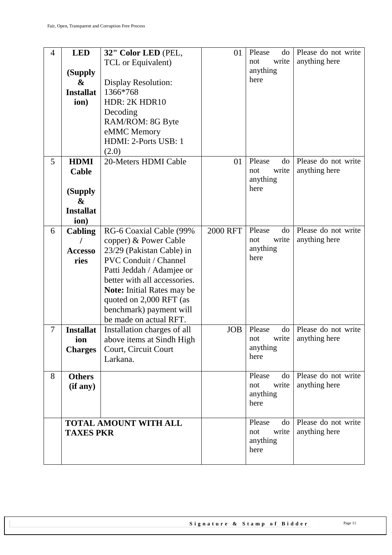| 4      | <b>LED</b>                   | 32" Color LED (PEL,                                       | 01              | Please<br>do                 | Please do not write                  |
|--------|------------------------------|-----------------------------------------------------------|-----------------|------------------------------|--------------------------------------|
|        |                              | TCL or Equivalent)                                        |                 | write<br>not                 | anything here                        |
|        | (Supply                      |                                                           |                 | anything                     |                                      |
|        | &                            | <b>Display Resolution:</b>                                |                 | here                         |                                      |
|        | <b>Installat</b>             | 1366*768                                                  |                 |                              |                                      |
|        | ion)                         | HDR: 2K HDR10                                             |                 |                              |                                      |
|        |                              | Decoding                                                  |                 |                              |                                      |
|        |                              | RAM/ROM: 8G Byte                                          |                 |                              |                                      |
|        |                              | eMMC Memory                                               |                 |                              |                                      |
|        |                              | HDMI: 2-Ports USB: 1                                      |                 |                              |                                      |
|        |                              | (2.0)                                                     |                 |                              |                                      |
| 5      | <b>HDMI</b>                  | 20-Meters HDMI Cable                                      | 01              | Please<br>do                 | Please do not write                  |
|        | Cable                        |                                                           |                 | write<br>not                 | anything here                        |
|        |                              |                                                           |                 | anything<br>here             |                                      |
|        | (Supply                      |                                                           |                 |                              |                                      |
|        | &                            |                                                           |                 |                              |                                      |
|        | <b>Installat</b>             |                                                           |                 |                              |                                      |
|        | ion)                         |                                                           |                 |                              |                                      |
| 6      | <b>Cabling</b>               | RG-6 Coaxial Cable (99%                                   | <b>2000 RFT</b> | Please<br>do<br>write<br>not | Please do not write<br>anything here |
|        |                              | copper) & Power Cable                                     |                 | anything                     |                                      |
|        | <b>Accesso</b>               | 23/29 (Pakistan Cable) in<br><b>PVC Conduit / Channel</b> |                 | here                         |                                      |
|        | ries                         | Patti Jeddah / Adamjee or                                 |                 |                              |                                      |
|        |                              | better with all accessories.                              |                 |                              |                                      |
|        |                              | <b>Note:</b> Initial Rates may be                         |                 |                              |                                      |
|        |                              | quoted on 2,000 RFT (as                                   |                 |                              |                                      |
|        |                              | benchmark) payment will                                   |                 |                              |                                      |
|        |                              | be made on actual RFT.                                    |                 |                              |                                      |
| $\tau$ | <b>Installat</b>             | Installation charges of all                               | <b>JOB</b>      | Please<br>do                 | Please do not write                  |
|        | ion                          | above items at Sindh High                                 |                 | write<br>not                 | anything here                        |
|        | <b>Charges</b>               | Court, Circuit Court                                      |                 | anything                     |                                      |
|        |                              | Larkana.                                                  |                 | here                         |                                      |
|        |                              |                                                           |                 |                              |                                      |
| 8      | <b>Others</b>                |                                                           |                 | Please<br>do                 | Please do not write                  |
|        | (if any)                     |                                                           |                 | write<br>not<br>anything     | anything here                        |
|        |                              |                                                           |                 | here                         |                                      |
|        |                              |                                                           |                 |                              |                                      |
|        | <b>TOTAL AMOUNT WITH ALL</b> |                                                           |                 | Please<br>do                 | Please do not write                  |
|        | <b>TAXES PKR</b>             |                                                           |                 | write<br>not                 | anything here                        |
|        |                              |                                                           |                 | anything                     |                                      |
|        |                              |                                                           |                 | here                         |                                      |
|        |                              |                                                           |                 |                              |                                      |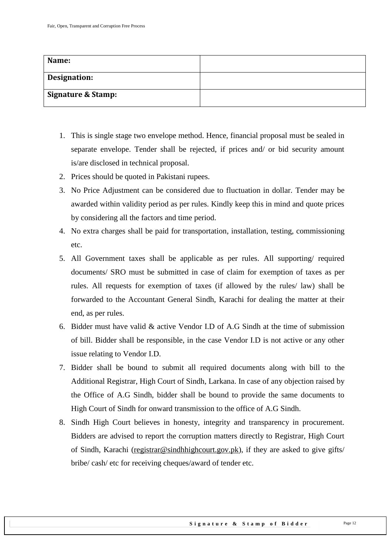| Name:               |  |
|---------------------|--|
| <b>Designation:</b> |  |
| Signature & Stamp:  |  |

- 1. This is single stage two envelope method. Hence, financial proposal must be sealed in separate envelope. Tender shall be rejected, if prices and/ or bid security amount is/are disclosed in technical proposal.
- 2. Prices should be quoted in Pakistani rupees.
- 3. No Price Adjustment can be considered due to fluctuation in dollar. Tender may be awarded within validity period as per rules. Kindly keep this in mind and quote prices by considering all the factors and time period.
- 4. No extra charges shall be paid for transportation, installation, testing, commissioning etc.
- 5. All Government taxes shall be applicable as per rules. All supporting/ required documents/ SRO must be submitted in case of claim for exemption of taxes as per rules. All requests for exemption of taxes (if allowed by the rules/ law) shall be forwarded to the Accountant General Sindh, Karachi for dealing the matter at their end, as per rules.
- 6. Bidder must have valid & active Vendor I.D of A.G Sindh at the time of submission of bill. Bidder shall be responsible, in the case Vendor I.D is not active or any other issue relating to Vendor I.D.
- 7. Bidder shall be bound to submit all required documents along with bill to the Additional Registrar, High Court of Sindh, Larkana. In case of any objection raised by the Office of A.G Sindh, bidder shall be bound to provide the same documents to High Court of Sindh for onward transmission to the office of A.G Sindh.
- 8. Sindh High Court believes in honesty, integrity and transparency in procurement. Bidders are advised to report the corruption matters directly to Registrar, High Court of Sindh, Karachi [\(registrar@sindhhighcourt.gov.pk\)](mailto:registrar@sindhhighcourt.gov.pk), if they are asked to give gifts/ bribe/ cash/ etc for receiving cheques/award of tender etc.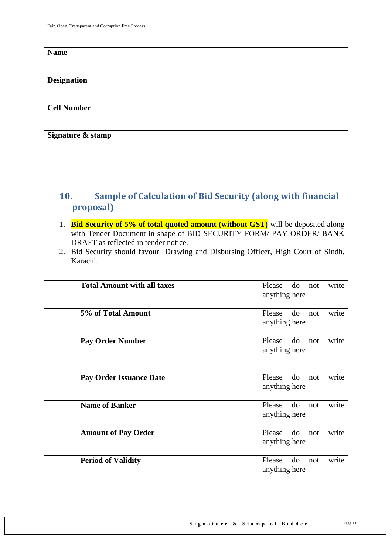| <b>Name</b>        |  |
|--------------------|--|
|                    |  |
| <b>Designation</b> |  |
|                    |  |
| <b>Cell Number</b> |  |
|                    |  |
| Signature & stamp  |  |
|                    |  |

# <span id="page-12-0"></span>**10. Sample of Calculation of Bid Security (along with financial proposal)**

- 1. **Bid Security of 5% of total quoted amount (without GST)** will be deposited along with Tender Document in shape of BID SECURITY FORM/ PAY ORDER/ BANK DRAFT as reflected in tender notice.
- 2. Bid Security should favour Drawing and Disbursing Officer, High Court of Sindh, Karachi.

| <b>Total Amount with all taxes</b> | do<br>Please<br>write<br>not<br>anything here |
|------------------------------------|-----------------------------------------------|
| 5% of Total Amount                 | do<br>Please<br>write<br>not<br>anything here |
| <b>Pay Order Number</b>            | do<br>write<br>Please<br>not<br>anything here |
| <b>Pay Order Issuance Date</b>     | do<br>write<br>Please<br>not<br>anything here |
| <b>Name of Banker</b>              | do<br>Please<br>write<br>not<br>anything here |
| <b>Amount of Pay Order</b>         | do<br>Please<br>write<br>not<br>anything here |
| <b>Period of Validity</b>          | Please<br>do<br>write<br>not<br>anything here |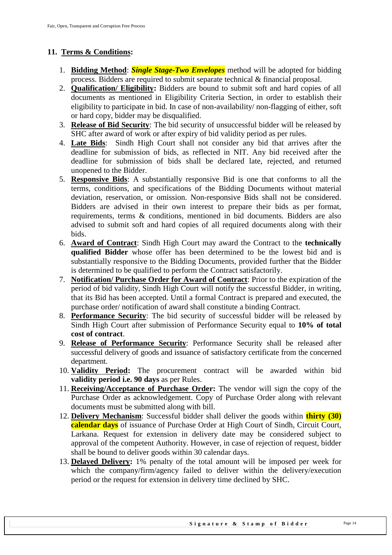#### <span id="page-13-0"></span>**11. Terms & Conditions:**

- 1. **Bidding Method**: *Single Stage-Two Envelopes* method will be adopted for bidding process. Bidders are required to submit separate technical & financial proposal.
- 2. **Qualification/ Eligibility:** Bidders are bound to submit soft and hard copies of all documents as mentioned in Eligibility Criteria Section, in order to establish their eligibility to participate in bid. In case of non-availability/ non-flagging of either, soft or hard copy, bidder may be disqualified.
- 3. **Release of Bid Security**: The bid security of unsuccessful bidder will be released by SHC after award of work or after expiry of bid validity period as per rules.
- 4. **Late Bids**: Sindh High Court shall not consider any bid that arrives after the deadline for submission of bids, as reflected in NIT. Any bid received after the deadline for submission of bids shall be declared late, rejected, and returned unopened to the Bidder.
- 5. **Responsive Bids**: A substantially responsive Bid is one that conforms to all the terms, conditions, and specifications of the Bidding Documents without material deviation, reservation, or omission. Non-responsive Bids shall not be considered. Bidders are advised in their own interest to prepare their bids as per format, requirements, terms & conditions, mentioned in bid documents. Bidders are also advised to submit soft and hard copies of all required documents along with their bids.
- 6. **Award of Contract**: Sindh High Court may award the Contract to the **technically qualified Bidder** whose offer has been determined to be the lowest bid and is substantially responsive to the Bidding Documents, provided further that the Bidder is determined to be qualified to perform the Contract satisfactorily.
- 7. **Notification/ Purchase Order for Award of Contract**: Prior to the expiration of the period of bid validity, Sindh High Court will notify the successful Bidder, in writing, that its Bid has been accepted. Until a formal Contract is prepared and executed, the purchase order/ notification of award shall constitute a binding Contract.
- 8. **Performance Security**: The bid security of successful bidder will be released by Sindh High Court after submission of Performance Security equal to **10% of total cost of contract**.
- 9. **Release of Performance Security**: Performance Security shall be released after successful delivery of goods and issuance of satisfactory certificate from the concerned department.
- 10. **Validity Period:** The procurement contract will be awarded within bid **validity period i.e. 90 days** as per Rules.
- 11. **Receiving/Acceptance of Purchase Order:** The vendor will sign the copy of the Purchase Order as acknowledgement. Copy of Purchase Order along with relevant documents must be submitted along with bill.
- 12. **Delivery Mechanism**: Successful bidder shall deliver the goods within **thirty (30) calendar days** of issuance of Purchase Order at High Court of Sindh, Circuit Court, Larkana. Request for extension in delivery date may be considered subject to approval of the competent Authority. However, in case of rejection of request, bidder shall be bound to deliver goods within 30 calendar days.
- 13. **Delayed Delivery:** 1% penalty of the total amount will be imposed per week for which the company/firm/agency failed to deliver within the delivery/execution period or the request for extension in delivery time declined by SHC.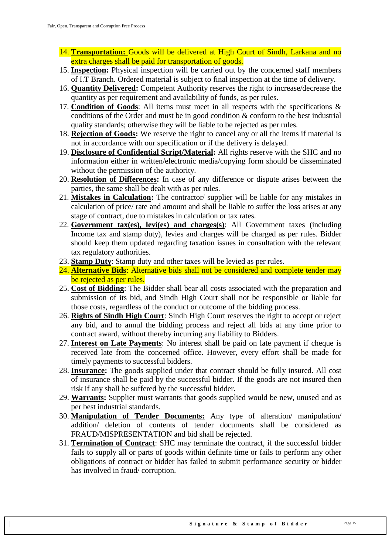- 14. **Transportation:** Goods will be delivered at High Court of Sindh, Larkana and no extra charges shall be paid for transportation of goods.
- 15. **Inspection:** Physical inspection will be carried out by the concerned staff members of I.T Branch. Ordered material is subject to final inspection at the time of delivery.
- 16. **Quantity Delivered:** Competent Authority reserves the right to increase/decrease the quantity as per requirement and availability of funds, as per rules.
- 17. **Condition of Goods**: All items must meet in all respects with the specifications & conditions of the Order and must be in good condition & conform to the best industrial quality standards; otherwise they will be liable to be rejected as per rules.
- 18. **Rejection of Goods:** We reserve the right to cancel any or all the items if material is not in accordance with our specification or if the delivery is delayed.
- 19. **Disclosure of Confidential Script/Material:** All rights reserve with the SHC and no information either in written/electronic media/copying form should be disseminated without the permission of the authority.
- 20. **Resolution of Differences:** In case of any difference or dispute arises between the parties, the same shall be dealt with as per rules.
- 21. **Mistakes in Calculation:** The contractor/ supplier will be liable for any mistakes in calculation of price/ rate and amount and shall be liable to suffer the loss arises at any stage of contract, due to mistakes in calculation or tax rates.
- 22. **Government tax(es), levi(es) and charges(s)**: All Government taxes (including Income tax and stamp duty), levies and charges will be charged as per rules. Bidder should keep them updated regarding taxation issues in consultation with the relevant tax regulatory authorities.
- 23. **Stamp Duty**: Stamp duty and other taxes will be levied as per rules.
- 24. **Alternative Bids**: Alternative bids shall not be considered and complete tender may be rejected as per rules.
- 25. **Cost of Bidding**: The Bidder shall bear all costs associated with the preparation and submission of its bid, and Sindh High Court shall not be responsible or liable for those costs, regardless of the conduct or outcome of the bidding process.
- 26. **Rights of Sindh High Court**: Sindh High Court reserves the right to accept or reject any bid, and to annul the bidding process and reject all bids at any time prior to contract award, without thereby incurring any liability to Bidders.
- 27. **Interest on Late Payments**: No interest shall be paid on late payment if cheque is received late from the concerned office. However, every effort shall be made for timely payments to successful bidders.
- 28. **Insurance:** The goods supplied under that contract should be fully insured. All cost of insurance shall be paid by the successful bidder. If the goods are not insured then risk if any shall be suffered by the successful bidder.
- 29. **Warrants:** Supplier must warrants that goods supplied would be new, unused and as per best industrial standards.
- 30. **Manipulation of Tender Documents:** Any type of alteration/ manipulation/ addition/ deletion of contents of tender documents shall be considered as FRAUD/MISPRESENTATION and bid shall be rejected.
- 31. **Termination of Contract**: SHC may terminate the contract, if the successful bidder fails to supply all or parts of goods within definite time or fails to perform any other obligations of contract or bidder has failed to submit performance security or bidder has involved in fraud/ corruption.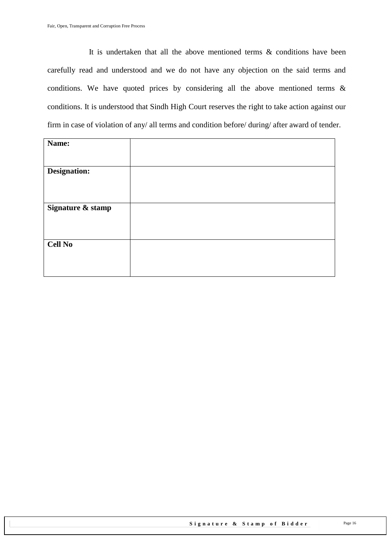It is undertaken that all the above mentioned terms & conditions have been carefully read and understood and we do not have any objection on the said terms and conditions. We have quoted prices by considering all the above mentioned terms & conditions. It is understood that Sindh High Court reserves the right to take action against our firm in case of violation of any/ all terms and condition before/ during/ after award of tender.

| Name:             |  |
|-------------------|--|
| Designation:      |  |
| Signature & stamp |  |
| <b>Cell No</b>    |  |